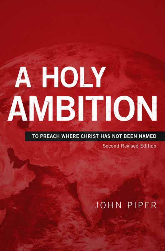# A HOLY AMBITION

**O PREACH WHERE CHRIST HAS NOT BEEN NAMED** 

**Second Revised Edition** 

## **JOHN PIPER**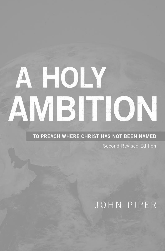# A HOLY AMBITION

TO PREACH WHERE CHRIST HAS NOT BEEN NAMED

**Second Revised Edition** 

JOHN PIPER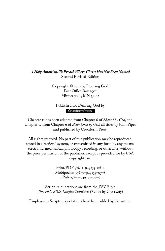#### *A Holy Ambition: To Preach Where Christ Has Not Been Named* Second Revised Edition

Copyright © 2019 by Desiring God Post Office Box 2901 Minneapolis, MN 55402

#### Publi[shed for Desiring G](http://cruciformpress.com)od by **CruciformPress**

Chapter 11 has been adapted from Chapter 6 of *Shaped by God*, and Chapter 12 from Chapter 6 of *Astonished by God*; all titles by John Piper and published by Cruciform Press.

All rights reserved. No part of this publication may be reproduced, stored in a retrieval system, or transmitted in any form by any means, electronic, mechanical, photocopy, recording, or otherwise, without the prior permission of the publisher, except as provided for by USA copyright law.

> Print/PDF 978-1-949253-06-1 Mobipocket 978–1–949253–07–8 ePub 978–1–949253–08–5

Scripture quotations are from the ESV Bible (*The Holy Bible, English Standard* © 2001 by Crossway)

Emphasis in Scripture quotations have been added by the author.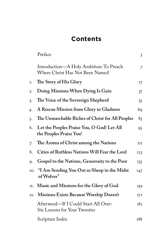## **Contents**

|     | Preface                                                                    | 3              |
|-----|----------------------------------------------------------------------------|----------------|
|     | Introduction-A Holy Ambition: To Preach<br>Where Christ Has Not Been Named | 7              |
| I.  | The Story of His Glory                                                     | 17             |
| 2.  | Doing Missions When Dying Is Gain                                          | 37             |
| 3.  | The Voice of the Sovereign Shepherd                                        | 55             |
| 4.  | A Rescue Mission from Glory to Gladness                                    | 69             |
| 5.  | The Unsearchable Riches of Christ for All Peoples                          | 85             |
| 6.  | Let the Peoples Praise You, O God! Let All<br>the Peoples Praise You!      | 95             |
| 7.  | The Aroma of Christ among the Nations                                      | III            |
| 8.  | Cities of Ruthless Nations Will Fear the Lord                              | I23            |
| 9.  | Gospel to the Nations, Generosity to the Poor                              | 135            |
| IO. | "I Am Sending You Out as Sheep in the Midst<br>of Wolves"                  | 147            |
| II. | Music and Missions for the Glory of God                                    | 159            |
| I2. | Missions Exists Because Worship Doesn't                                    | I7I            |
|     | Afterword—If I Could Start All Over:<br>Six Lessons for Your Twenties      | 181            |
|     | Scripture Index                                                            | <sup>188</sup> |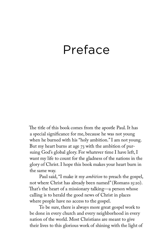# Preface

The title of this book comes from the apostle Paul. It has a special significance for me, because he was not young when he burned with his "holy ambition." I am not young. But my heart burns at age 73 with the ambition of pursuing God's global glory. For whatever time I have left, I want my life to count for the gladness of the nations in the glory of Christ. I hope this book makes your heart burn in the same way.

Paul said, "I make it my *ambition* to preach the gospel, not where Christ has already been named" (Romans 15:20). That's the heart of a missionary talking—a person whose calling is to herald the good news of Christ in places where people have no access to the gospel.

To be sure, there is always more great gospel work to be done in every church and every neighborhood in every nation of the world. Most Christians are meant to give their lives to this glorious work of shining with the light of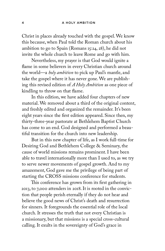Christ in places already touched with the gospel. We know this because, when Paul told the Roman church about his ambition to go to Spain (Romans 15:24, 28), he did not invite the whole church to leave Rome and go with him.

Nevertheless, my prayer is that God would ignite a flame in some believers in every Christian church around the world—a *holy ambition* to pick up Paul's mantle, and take the gospel where it has never gone. We are publishing this revised edition of *A Holy Ambition* as one piece of kindling to throw on that flame.

In this edition, we have added four chapters of new material. We removed about a third of the original content, and freshly edited and organized the remainder. It's been eight years since the first edition appeared. Since then, my thirty-three-year pastorate at Bethlehem Baptist Church has come to an end. God designed and performed a beautiful transition for the church into new leadership.

But in this new chapter of life, as I work full-time for Desiring God and Bethlehem College & Seminary, the cause of world missions remains prominent. I have been able to travel internationally more than I used to, as we try to serve newer movements of gospel growth. And to my amazement, God gave me the privilege of being part of starting the CROSS missions conference for students.

This conference has grown from its first gathering in 2013, to 7,000 attenders in 2018. It is rooted in the conviction that people perish eternally if they do not hear and believe the good news of Christ's death and resurrection for sinners. It foregrounds the essential role of the local church. It stresses the truth that not every Christian is a missionary, but that missions is a special cross-cultural calling. It exults in the sovereignty of God's grace in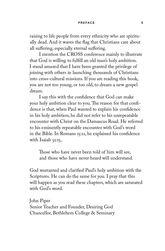raising to life people from every ethnicity who are spiritually dead. And it waves the flag that Christians care about all suffering, especially eternal suffering.

I mention the CROSS conference mainly to illustrate that God is willing to fulfill an old man's holy ambition. I stand amazed that I have been granted the privilege of joining with others in launching thousands of Christians into cross-cultural missions. If you are reading this book, you are not too young, or too old, to dream a new gospel dream.

I say this with the confidence that God can make your holy ambition clear to you. The reason for that confidence is that, when Paul wanted to explain his confidence in his holy ambition, he did not refer to his unrepeatable encounter with Christ on the Damascus Road. He referred to his eminently repeatable encounter with God's word in the Bible. In Romans 15:21, he explained his confidence with Isaiah 52:15,

Those who have never been told of him will see, and those who have never heard will understand.

God warranted and clarified Paul's holy ambition with the Scriptures. He can do the same for you. I pray that this will happen as you read these chapters, which are saturated with God's word.

John Piper Senior Teacher and Founder, Desiring God Chancellor, Bethlehem College & Seminary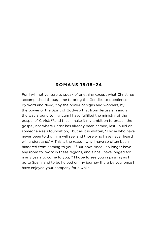#### **ROMANS 15:18–24**

For I will not venture to speak of anything except what Christ has accomplished through me to bring the Gentiles to obedience by word and deed, <sup>19</sup> by the power of signs and wonders, by the power of the Spirit of God—so that from Jerusalem and all the way around to Illyricum I have fulfilled the ministry of the gospel of Christ; 20 and thus I make it my ambition to preach the gospel, not where Christ has already been named, lest I build on someone else's foundation.<sup>21</sup> but as it is written. "Those who have never been told of him will see, and those who have never heard will understand."<sup>22</sup> This is the reason why I have so often been hindered from coming to you.<sup>23</sup> But now, since I no longer have any room for work in these regions, and since I have longed for many years to come to you, <sup>24</sup> I hope to see you in passing as I go to Spain, and to be helped on my journey there by you, once I have enjoyed your company for a while.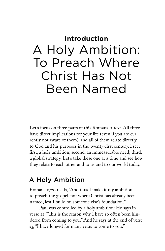# **Introduction** A Holy Ambition: To Preach Where Christ Has Not Been Named

Let's focus on three parts of this Romans 15 text. All three have direct implications for your life (even if you are currently not aware of them), and all of them relate directly to God and his purposes in the twenty-first century. I see, first, a holy ambition; second, an immeasurable need; third, a global strategy. Let's take these one at a time and see how they relate to each other and to us and to our world today.

## A Holy Ambition

Romans 15:20 reads, "And thus I make it my ambition to preach the gospel, not where Christ has already been named, lest I build on someone else's foundation."

Paul was controlled by a holy ambition: He says in verse 22, "This is the reason why I have so often been hindered from coming to you." And he says at the end of verse 23, "I have longed for many years to come to you."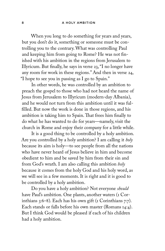When you long to do something for years and years, but you don't do it, something or someone must be controlling you to the contrary. What was controlling Paul and keeping him from going to Rome? He was not finished with his ambition in the regions from Jerusalem to Illyricum. But finally, he says in verse 23, "I no longer have any room for work in these regions." And then in verse 24, "I hope to see you in passing as I go to Spain."

In other words, he was controlled by an ambition to preach the gospel to those who had not heard the name of Jesus from Jerusalem to Illyricum (modern-day Albania), and he would not turn from this ambition until it was fulfilled. But now the work is done in those regions, and his ambition is taking him to Spain. That frees him finally to do what he has wanted to do for years—namely, visit the church in Rome and enjoy their company for a little while.

It is a good thing to be controlled by a holy ambition. Are you controlled by a holy ambition? I am calling it *holy* because its aim is holy—to see people from all the nations who have never heard of Jesus believe in him and become obedient to him and be saved by him from their sin and from God's wrath. I am also calling this ambition *holy* because it comes from the holy God and his holy word, as we will see in a few moments. It is right and it is good to be controlled by a holy ambition.

Do you have a holy ambition? Not everyone *should* have Paul's ambition. One plants, another waters (1 Corinthians 3:6–8). Each has his own gift ( $\sigma$  Corinthians 7:7). Each stands or falls before his own master (Romans 14:4). But I think God would be pleased if each of his children had a holy ambition.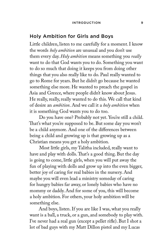#### Holy Ambition for Girls and Boys

Little children, listen to me carefully for a moment. I know the words *holy ambition* are unusual and you don't use them every day. *Holy ambition* means something you *really*  want to do that God wants you to do. Something you want to do so much that doing it keeps you from doing other things that you also really like to do. Paul really wanted to go to Rome for years. But he didn't go because he wanted something else more. He wanted to preach the gospel in Asia and Greece, where people didn't know about Jesus. He really, really, really wanted to do this. We call that kind of desire an *ambition*. And we call it a *holy ambition* when it is something God wants you to do too.

Do you have one? Probably not yet. You're still a child. That's what you're supposed to be. But some day you won't be a child anymore. And one of the differences between being a child and growing up is that growing up as a Christian means you get a holy ambition.

Most little girls, my Talitha included, really want to have and play with dolls. That's a good thing. But the day is going to come, little girls, when you will put away the fun of playing with dolls and grow up into the even bigger, better joy of caring for real babies in the nursery. And maybe you will even lead a ministry someday of caring for hungry babies far away, or lonely babies who have no mommy or daddy. And for some of you, this will become a holy ambition. For others, your holy ambition will be something else.

And boys, listen. If you are like I was, what you really want is a ball, a truck, or a gun, and somebody to play with. I've never had a real gun (except a pellet rifle). But I shot a lot of bad guys with my Matt Dillon pistol and my Lucas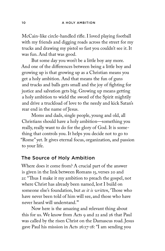McCain-like circle-handled rifle. I loved playing football with my friends and digging roads across the street for my trucks and drawing my pistol so fast you couldn't see it. It was fun. And that was good.

But some day you won't be a little boy any more. And one of the differences between being a little boy and growing up is that growing up as a Christian means you get a holy ambition. And that means the fun of guns and trucks and balls gets small and the joy of fighting for justice and salvation gets big. Growing up means getting a holy ambition to wield the sword of the Spirit mightily and drive a truckload of love to the needy and kick Satan's rear end in the name of Jesus.

Moms and dads, single people, young and old, all Christians should have a holy ambition—something you really, really want to do for the glory of God. It is something that controls you. It helps you decide not to go to "Rome" yet. It gives eternal focus, organization, and passion to your life.

#### The Source of Holy Ambition

Where does it come from? A crucial part of the answer is given in the link between Romans 15, verses 20 and 21: "Thus I make it my ambition to preach the gospel, not where Christ has already been named, lest I build on someone else's foundation, but *as it is written*, 'Those who have never been told of him will see, and those who have never heard will understand.'"

Now here is the amazing and relevant thing about this for us. We know from Acts 9 and 22 and 26 that Paul was called by the risen Christ on the Damascus road. Jesus gave Paul his mission in Acts 26:17-18: "I am sending you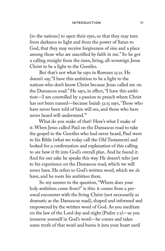#### INTRODUCTION 11

[to the nations] to open their eyes, so that they may turn from darkness to light and from the power of Satan to God, that they may receive forgiveness of sins and a place among those who are sanctified by faith in me." So he got a calling straight from the risen, living, all-sovereign Jesus Christ to be a light to the Gentiles.

But that's not what he says in Romans 15:21. He doesn't say, "I have this ambition to be a light to the nations who don't know Christ because Jesus called me on the Damascus road." He says, in effect, "I have this ambition—I am controlled by a passion to preach where Christ has not been named—because Isaiah 52:15 says, 'Those who have never been told of him will see, and those who have never heard will understand."

What do you make of that? Here's what I make of it. When Jesus called Paul on the Damascus road to take the gospel to the Gentiles who had never heard, Paul went to his Bible (what we today call the Old Testament) and looked for a confirmation and explanation of this calling to see how it fit into God's overall plan. And he found it. And for our sake he speaks this way. He doesn't refer just to his experience on the Damascus road, which we will never have. He refers to God's written word, which we *do*  have, and he roots his ambition there.

So my answer to the question, "Where does your holy ambition come from?" is this: it comes from a personal encounter with the living Christ (not necessarily as dramatic as the Damascus road), shaped and informed and empowered by the written word of God. As you meditate on the law of the Lord day and night (Psalm 1:2)—as you immerse yourself in God's word—he comes and takes some truth of that word and burns it into your heart until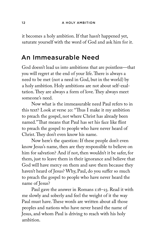it becomes a holy ambition. If that hasn't happened yet, saturate yourself with the word of God and ask him for it.

## An Immeasurable Need

God doesn't lead us into ambitions that are pointless—that you will regret at the end of your life. There is always a need to be met (not a need in God, but in the world) by a holy ambition. Holy ambitions are not about self-exaltation. They are always a form of love. They always meet someone's need.

Now what is the immeasurable need Paul refers to in this text? Look at verse 20: "Thus I make it my ambition to preach the gospel, not where Christ has already been named." That means that Paul has set his face like flint to preach the gospel to people who have never heard of Christ. They don't even know his name.

Now here's the question: If these people don't even know Jesus's name, then are they responsible to believe on him for salvation? And if not, then wouldn't it be safer, for them, just to leave them in their ignorance and believe that God will have mercy on them and save them because they haven't heard of Jesus? Why, Paul, do you suffer so much to preach the gospel to people who have never heard the name of Jesus?

Paul gave the answer in Romans 1:18–23. Read it with me slowly and soberly and feel the weight of it the way Paul must have. These words are written about all those peoples and nations who have never heard the name of Jesus, and whom Paul is driving to reach with his holy ambition.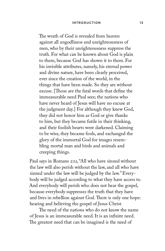The wrath of God is revealed from heaven against all ungodliness and unrighteousness of men, who by their unrighteousness suppress the truth. For what can be known about God is plain to them, because God has shown it to them. For his invisible attributes, namely, his eternal power and divine nature, have been clearly perceived, ever since the creation of the world, in the things that have been made. So they are without excuse. [Those are the fatal words that define the immeasurable need Paul sees; the nations who have never heard of Jesus will have no excuse at the judgment day.] For although they knew God, they did not honor him as God or give thanks to him, but they became futile in their thinking, and their foolish hearts were darkened. Claiming to be wise, they became fools, and exchanged the glory of the immortal God for images resembling mortal man and birds and animals and creeping things.

Paul says in Romans 2:12, "All who have sinned without the law will also perish without the law, and all who have sinned under the law will be judged by the law." Everybody will be judged according to what they have access to. And everybody will perish who does not hear the gospel, because everybody suppresses the truth that they have and lives in rebellion against God. There is only one hope: hearing and believing the gospel of Jesus Christ.

The need of the nations who do not know the name of Jesus is an immeasurable need. It is an infinite need. The greatest need that can be imagined is the need of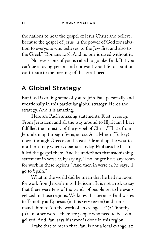the nations to hear the gospel of Jesus Christ and believe. Because the gospel of Jesus "is the power of God for salvation to everyone who believes, to the Jew first and also to the Greek" (Romans 1:16). And no one is saved without it.

Not every one of you is called to go like Paul. But you can't be a loving person and not want your life to count or contribute to the meeting of this great need.

## A Global Strategy

But God is calling some of you to join Paul personally and vocationally in this particular global strategy. Here's the strategy. And it is amazing.

Here are Paul's amazing statements. First, verse 19: "From Jerusalem and all the way around to Illyricum I have fulfilled the ministry of the gospel of Christ." That's from Jerusalem up through Syria, across Asia Minor (Turkey), down through Greece on the east side and up the west to northern Italy where Albania is today. Paul says he has fulfilled the gospel there. And he underlines that astonishing statement in verse 23 by saying, "I no longer have any room for work in these regions." And then in verse 24 he says, "I go to Spain."

What in the world did he mean that he had no room for work from Jerusalem to Illyricum? It is not a risk to say that there were tens of thousands of people yet to be evangelized in those regions. We know this because Paul writes to Timothy at Ephesus (in this very region) and commands him to "do the work of an evangelist" (2 Timothy 4:5). In other words, there are people who need to be evangelized. And Paul says his work is done in this region.

I take that to mean that Paul is not a local evangelist;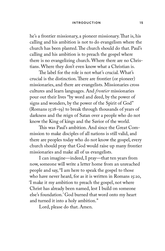#### INTRODUCTION 15

he's a frontier missionary, a pioneer missionary. That is, his calling and his ambition is not to do evangelism where the church has been planted. The church should do that. Paul's calling and his ambition is to preach the gospel where there is no evangelizing church. Where there are no Christians. Where they don't even know what a Christian is.

The label for the role is not what's crucial. What's crucial is the distinction. There are frontier (or pioneer) missionaries, and there are evangelists. Missionaries cross cultures and learn languages. And *frontier* missionaries pour out their lives "by word and deed, by the power of signs and wonders, by the power of the Spirit of God" (Romans 15:18–19) to break through thousands of years of darkness and the reign of Satan over a people who do not know the King of kings and the Savior of the world.

This was Paul's ambition. And since the Great Commission to make disciples of all nations is still valid, and there are peoples today who do not know the gospel, every church should pray that God would raise up many frontier missionaries and make all of us evangelists.

I can imagine—indeed, I pray—that ten years from now, someone will write a letter home from an unreached people and say, "I am here to speak the gospel to those who have never heard, for as it is written in Romans 15:20, 'I make it my ambition to preach the gospel, not where Christ has already been named, lest I build on someone else's foundation.' God burned that word onto my heart and turned it into a holy ambition."

Lord, please do that. Amen.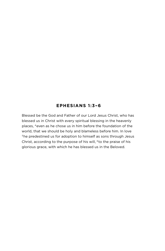#### **EPHESIANS 1:3–6**

Blessed be the God and Father of our Lord Jesus Christ, who has blessed us in Christ with every spiritual blessing in the heavenly places, 4 even as he chose us in him before the foundation of the world, that we should be holy and blameless before him. In love 5 he predestined us for adoption to himself as sons through Jesus Christ, according to the purpose of his will, <sup>6</sup>to the praise of his glorious grace, with which he has blessed us in the Beloved.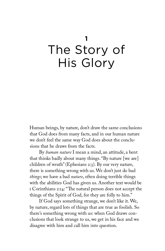# **1** The Story of His Glory

Human beings, by nature, don't draw the same conclusions that God does from many facts, and in our human nature we don't feel the same way God does about the conclusions that he draws from the facts.

By *human nature* I mean a mind, an attitude, a bent that thinks badly about many things. "By nature [we are] children of wrath" (Ephesians 2:3). By our very nature, there is something wrong with us. We don't just do bad *things*; we have a bad *nature*, often doing terrible things with the abilities God has given us. Another text would be 1 Corinthians 2:14: "The natural person does not accept the things of the Spirit of God, for they are folly to him."

If God says something strange, we don't like it. We, by nature, regard lots of things that are true as foolish. So there's something wrong with us: when God draws conclusions that look strange to us, we get in his face and we disagree with him and call him into question.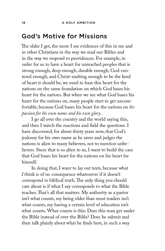## God's Motive for Missions

The older I get, the more I see evidences of this in me and in other Christians in the way we read our Bibles and in the way we respond to providences. For example, in order for us to have a heart for unreached peoples that is strong enough, deep enough, durable enough, God-centered enough, and Christ-exalting enough to be the kind of heart it should be, we need to base this heart for the nations on the same foundation on which God bases his heart for the nations. But when we see what God bases his heart for the nations on, many people start to get uncomfortable, because God bases his heart for the nations on *his passion for his own name and his own glory*.

I go all over the country and the world saying this, and then I watch the reactions and field the questions. I have discovered, for about thirty years now, that God's jealousy for his own name as he saves and judges the nations is alien to many believers, not to mention unbelievers. Since that is so alien to us, I want to build the case that God bases his heart for the nations on his heart for himself.

In doing that, I want to lay out texts, because what *I* think is of no consequence whatsoever if it doesn't correspond to biblical truth. The only thing you should care about is if what I say corresponds to what the Bible teaches. That's all that matters. My authority as a pastor isn't what counts, my being older than most readers isn't what counts, my having a certain level of education isn't what counts. What counts is this: Does this man get under the Bible instead of over the Bible? Does he submit and then talk plainly about what he finds here, in such a way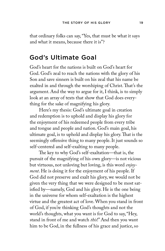that ordinary folks can say, "Yes, that must be what it says and what it means, because there it is"?

## God's Ultimate Goal

God's heart for the nations is built on God's heart for God. God's zeal to reach the nations with the glory of his Son and save sinners is built on his zeal that his name be exalted in and through the worshiping of Christ. That's the argument. And the way to argue for it, I think, is to simply look at an array of texts that show that God does everything for the sake of magnifying his glory.

Here's my thesis: God's ultimate goal in creation and redemption is to uphold and display his glory for the enjoyment of his redeemed people from every tribe and tongue and people and nation. God's main goal, his ultimate goal, is to uphold and display his glory. That is the seemingly offensive thing to many people. It just sounds so self-centered and self-exalting to many people.

The key to why God's self-exaltation—that is, the pursuit of the magnifying of his own glory—is not vicious but virtuous, not unloving but loving, is this word *enjoyment*. He is doing it for the enjoyment of his people. If God did not preserve and exalt his glory, we would not be given the very thing that we were designed to be most satisfied by—namely, God and his glory. He is the one being in the universe for whom self-exaltation is the highest virtue and the greatest act of love. When you stand in front of God, if you're thinking God's thoughts and not the world's thoughts, what you want is for God to say, "Hey, stand in front of me and watch *this*!" And then you want him to be God, in the fullness of his grace and justice, so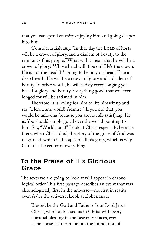that you can spend eternity enjoying him and going deeper into him.

Consider Isaiah 28:5: "In that day the LORD of hosts will be a crown of glory, and a diadem of beauty, to the remnant of his people." What will it mean that he will be a crown of glory? Whose head will it be on? He's the crown. He is not the head. It's going to be on your head. Take a deep breath. He will be a crown of glory and a diadem of beauty. In other words, he will satisfy every longing you have for glory and beauty. Everything good that you ever longed for will be satisfied in him.

Therefore, it is loving for him to lift himself up and say, "Here I am, world! Admire!" If you did that, you would be unloving, because you are not all-satisfying. He is. You should simply go all over the world pointing to him. Say, "World, look!" Look at Christ especially, because there, when Christ died, the glory of the grace of God was magnified, which is the apex of all his glory, which is why Christ is the center of everything.

## To the Praise of His Glorious Grace

The texts we are going to look at will appear in chronological order. This first passage describes an event that was chronologically first in the universe—no, first in reality, even *before* the universe. Look at Ephesians 1.

Blessed be the God and Father of our Lord Jesus Christ, who has blessed us in Christ with every spiritual blessing in the heavenly places, even as he chose us in him before the foundation of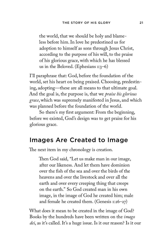the world, that we should be holy and blameless before him. In love he predestined us for adoption to himself as sons through Jesus Christ, according to the purpose of his will, to the praise of his glorious grace, with which he has blessed us in the Beloved. (Ephesians  $1:3-6$ )

I'll paraphrase that: God, before the foundation of the world, set his heart on being praised. Choosing, predestining, adopting—these are all means to that ultimate goal. And the goal is, the purpose is, that we *praise his glorious grace*, which was supremely manifested in Jesus, and which was planned before the foundation of the world.

So there's my first argument: From the beginning, before we existed, God's design was to get praise for his glorious grace.

## Images Are Created to Image

The next item in my chronology is creation.

Then God said, "Let us make man in our image, after our likeness. And let them have dominion over the fish of the sea and over the birds of the heavens and over the livestock and over all the earth and over every creeping thing that creeps on the earth." So God created man in his own image, in the image of God he created him; male and female he created them. (Genesis 1:26–27)

What does it mean to be created in the image of God? Books by the hundreds have been written on the *imago dei*, as it's called. It's a huge issue. Is it our reason? Is it our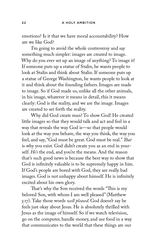emotions? Is it that we have moral accountability? How are we like God?

I'm going to avoid the whole controversy and say something much simpler: images are created to image. Why do you ever set up an image of anything? To image it! If someone puts up a statue of Stalin, he wants people to look at Stalin and think about Stalin. If someone puts up a statue of George Washington, he wants people to look at it and think about the founding fathers. Images are made to image. So if God made us, unlike all the other animals, in his image, whatever it means in detail, this it means clearly: God is the reality, and we are the image. Images are created to set forth the reality.

Why did God create man? To show God! He created little images so that they would talk and act and feel in a way that reveals the way God is—so that people would look at the way you behave, the way you think, the way you feel, and say, "God must be great. God must be real." *That*  is why you exist. God didn't create you as an end in yourself. *He's* the end, and you're the means. And the reason that's such good news is because the best way to show that God is infinitely valuable is to be supremely happy in him. If God's people are bored with God, they are really bad images. God is not unhappy about himself. He is infinitely excited about his own glory.

That's why the Son received the words "This is my beloved Son, with whom I am well pleased" (Matthew 3:17). Take those words *well pleased*. God doesn't say he feels just okay about Jesus. He is absolutely thrilled with Jesus as the image of himself. So if we watch television, go on the computer, handle money, and use food in a way that communicates to the world that these things are our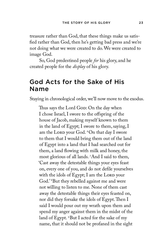treasure rather than God, that these things make us satisfied rather than God, then he's getting bad press and we're not doing what we were created to do. We were created to image God.

So, God predestined people *for* his glory, and he created people for the *display* of his glory.

## God Acts for the Sake of His Name

Staying in chronological order, we'll now move to the exodus.

Thus says the Lord God: On the day when I chose Israel, I swore to the offspring of the house of Jacob, making myself known to them in the land of Egypt; I swore to them, saying, I am the Lorp your God. <sup>6</sup>On that day I swore to them that I would bring them out of the land of Egypt into a land that I had searched out for them, a land flowing with milk and honey, the most glorious of all lands. 7 And I said to them, 'Cast away the detestable things your eyes feast on, every one of you, and do not defile yourselves with the idols of Egypt; I am the LORD your God.' 8 But they rebelled against me and were not willing to listen to me. None of them cast away the detestable things their eyes feasted on, nor did they forsake the idols of Egypt. Then I said I would pour out my wrath upon them and spend my anger against them in the midst of the land of Egypt. 9But I acted for the sake of my name, that it should not be profaned in the sight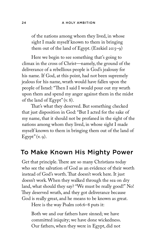of the nations among whom they lived, in whose sight I made myself known to them in bringing them out of the land of Egypt. (Ezekiel 20:5–9)

Here we begin to see something that's going to climax in the cross of Christ—namely, the ground of the deliverance of a rebellious people is God's jealousy for his name. If God, at this point, had not been supremely jealous for his name, wrath would have fallen upon the people of Israel: "Then I said I would pour out my wrath upon them and spend my anger against them in the midst of the land of Egypt" (v. 8).

That's what they deserved. But something checked that just disposition in God: "But I acted for the sake of my name, that it should not be profaned in the sight of the nations among whom they lived, in whose sight I made myself known to them in bringing them out of the land of  $E$ gypt" (v. 9).

## To Make Known His Mighty Power

Get that principle. There are so many Christians today who see the salvation of God as an evidence of their worth instead of God's worth. That doesn't work here. It just doesn't work. When they walked through the sea on dry land, what should they say? "We must be really good!" No! They deserved wrath, and they got deliverance because God is really great, and he means to be known as great.

Here is the way Psalm 106:6–8 puts it:

Both we and our fathers have sinned; we have committed iniquity; we have done wickedness. Our fathers, when they were in Egypt, did not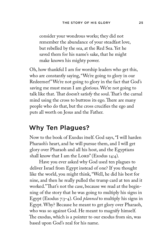consider your wondrous works; they did not remember the abundance of your steadfast love, but rebelled by the sea, at the Red Sea. Yet he saved them for his name's sake, that he might make known his mighty power.

Oh, how thankful I am for worship leaders who get this, who are constantly saying, "We're going to glory in our Redeemer!" We're not going to glory in the fact that God's saving me must mean I am glorious. We're not going to talk like that. That doesn't satisfy the soul. That's the carnal mind using the cross to buttress its ego. There are many people who do that, but the cross crucifies the ego and puts all worth on Jesus and the Father.

## Why Ten Plagues?

Now to the book of Exodus itself. God says, "I will harden Pharaoh's heart, and he will pursue them, and I will get glory over Pharaoh and all his host, and the Egyptians shall know that I am the  $LORD''$  (Exodus 14:4).

Have you ever asked why God used ten plagues to deliver Israel from Egypt instead of one? If you thought like the world, you might think, "Well, he did his best for nine, and then he really pulled the trump card at ten and it worked." That's not the case, because we read at the beginning of the story that he was going to multiply his signs in Egypt (Exodus 7:3–4). God *planned* to multiply his signs in Egypt. Why? Because he meant to get glory over Pharaoh, who was so against God. He meant to magnify himself. The exodus, which is a pointer to our exodus from sin, was based upon God's zeal for his name.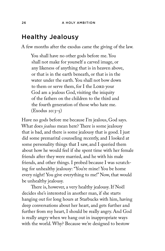## Healthy Jealousy

A few months after the exodus came the giving of the law.

You shall have no other gods before me. You shall not make for yourself a carved image, or any likeness of anything that is in heaven above, or that is in the earth beneath, or that is in the water under the earth. You shall not bow down to them or serve them, for I the LORD your God am a jealous God, visiting the iniquity of the fathers on the children to the third and the fourth generation of those who hate me. (Exodus 20:3–5)

Have no gods before me because I'm jealous, God says. What does *jealous* mean here? There is some jealousy that is bad, and there is some jealousy that is good. I just did some premarital counseling recently, and I looked at some personality things that I saw, and I queried them about how he would feel if she spent time with her female friends after they were married, and he with his male friends, and other things. I probed because I was scratching for unhealthy jealousy: "You're mine! You be home every night! You give everything to me!" Now, that would be unhealthy jealousy.

There is, however, a very healthy jealousy. If Noël decides she's interested in another man, if she starts hanging out for long hours at Starbucks with him, having deep conversations about her heart, and gets further and further from my heart, I should be really angry. And God is really angry when we hang out in inappropriate ways with the world. Why? Because we're designed to bestow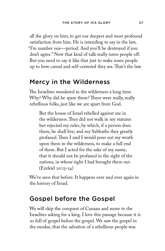all the glory on him, to get our deepest and most profound satisfaction from him. He is intending to say in the law, "I'm number one—period. And you'll be destroyed if you don't agree." Now that kind of talk really turns people off. But you need to say it like that just to wake some people up to how carnal and self-centered they are. That's the law.

## Mercy in the Wilderness

The Israelites wandered in the wilderness a long time. Why? Why did he spare them? These were really, really rebellious folks, just like we are apart from God.

But the house of Israel rebelled against me in the wilderness. They did not walk in my statutes but rejected my rules, by which, if a person does them, he shall live; and my Sabbaths they greatly profaned. Then I said I would pour out my wrath upon them in the wilderness, to make a full end of them. But I acted for the sake of my name, that it should not be profaned in the sight of the nations, in whose sight I had brought them out. (Ezekiel 20:13–14)

We've seen that before. It happens over and over again in the history of Israel.

## Gospel before the Gospel

We will skip the conquest of Canaan and move to the Israelites asking for a king. I love this passage because it is so full of gospel before the gospel. We saw the gospel in the exodus, that the salvation of a rebellious people was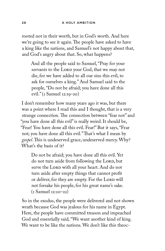rooted not in their worth, but in God's worth. And here we're going to see it again. The people have asked to have a king like the nations, and Samuel's not happy about that, and God's angry about that. So, what happens?

And all the people said to Samuel, "Pray for your servants to the Lord your God, that we may not die, for we have added to all our sins this evil, to ask for ourselves a king." And Samuel said to the people, "Do not be afraid; you have done all this evil." (1 Samuel 12:19–20)

I don't remember how many years ago it was, but there was a point where I read this and I thought, that is a very strange connection*.* The connection between "fear not" and "you have done all this evil" is really weird. It should be, "Fear! You have done all this evil. Fear!" But it says, "Fear not; you have done all this evil." That's what I mean by *gospel*. This is undeserved grace, undeserved mercy. Why? What's the basis of it?

Do not be afraid; you have done all this evil. Yet do not turn aside from following the LORD, but serve the Lorp with all your heart. And do not turn aside after empty things that cannot profit or deliver, for they are empty. For the Lord will not forsake his people, for his great name's sake.  $(I Sumuel I2:20-22)$ 

So in the exodus, the people were delivered and not shown wrath because God was jealous for his name in Egypt. Here, the people have committed treason and impeached God and essentially said, "We want another kind of king. We want to be like the nations. We don't like this theoc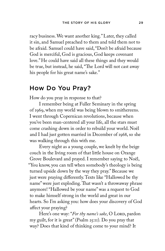racy business. We want another king." Later, they called it sin, and Samuel preached to them and told them not to be afraid. Samuel could have said, "Don't be afraid because God is merciful, God is gracious, God keeps covenant love." He could have said all these things and they would be true, but instead, he said, "The Lord will not cast away his people for his great name's sake."

## How Do You Pray?

How do you pray in response to that?

I remember being at Fuller Seminary in the spring of 1969, when my world was being blown to smithereens. I went through Copernican revolutions, because when you've been man-centered all your life, all the stars must come crashing down in order to rebuild your world. Noël and I had just gotten married in December of 1968, so she was walking through this with me.

Every night as a young couple, we knelt by the beige couch in the living room of that little house on Orange Grove Boulevard and prayed. I remember saying to Noël, "You know, you can tell when somebody's theology is being turned upside down by the way they pray." Because we just were praying differently. Texts like "Hallowed be thy name" were just exploding. That wasn't a throwaway phrase anymore! "Hallowed be your name" was a request to God to make himself strong in the world and great in our hearts. So I'm asking you: how does your discovery of God affect your praying?

Here's one way: "For thy name's sake, O LORD, pardon my guilt, for it is great" (Psalm 25:11). Do you pray that way? Does that kind of thinking come to your mind? It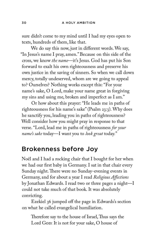sure didn't come to my mind until I had my eyes open to texts, hundreds of them, like that.

We do say this now, just in different words. We say, "In Jesus's name I pray, amen." Because on this side of the cross, we know *the name*—it's Jesus. God has put his Son forward to exalt his own righteousness and preserve his own justice in the saving of sinners. So when we call down mercy, totally undeserved, whom are we going to appeal to? Ourselves? Nothing works except this: "For your name's sake, O Lord, make your name great in forgiving my sins and using me, broken and imperfect as I am."

Or how about this prayer: "He leads me in paths of righteousness for his name's sake" (Psalm 23:3). Why does he sanctify you, leading you in paths of righteousness? Well consider how you might pray in response to that verse. "Lord, lead me in paths of righteousness *for your name's sake* today—I want you to *look great* today."

## Brokenness before Joy

Noël and I had a rocking chair that I bought for her when we had our first baby in Germany. I sat in that chair every Sunday night. There were no Sunday-evening events in Germany, and for about a year I read *Religious Affections*  by Jonathan Edwards. I read two or three pages a night—I could not take much of that book. It was absolutely convicting.

Ezekiel 36 jumped off the page in Edwards's section on what he called evangelical humiliation.

Therefore say to the house of Israel, Thus says the Lord God: It is not for your sake, O house of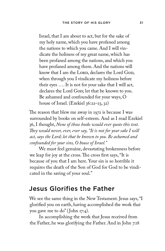Israel, that I am about to act, but for the sake of my holy name, which you have profaned among the nations to which you came. And I will vindicate the holiness of my great name, which has been profaned among the nations, and which you have profaned among them. And the nations will know that I am the Lord, declares the Lord God, when through you I vindicate my holiness before their eyes …. It is not for your sake that I will act, declares the Lord God; let that be known to you. Be ashamed and confounded for your ways, O house of Israel. (Ezekiel  $36:22-23, 32)$ 

The reason that blew me away in 1972 is because I was surrounded by books on self-esteem. And as I read Ezekiel 36, I thought, *None of those books would ever quote this text. They would never, ever, ever say, "It is not for your sake I will act, says the Lord; let that be known to you. Be ashamed and confounded for your sins, O house of Israel."*

We must feel genuine, devastating brokenness before we leap for joy at the cross. The cross first says, "It is because of you that I am here. Your sin is so horrible it requires the death of the Son of God for God to be vindicated in the saving of your soul."

## Jesus Glorifies the Father

We see the same thing in the New Testament. Jesus says, "I glorified you on earth, having accomplished the work that you gave me to do" (John 17:4).

In accomplishing the work that Jesus received from the Father, he was glorifying the Father. And in John 7:18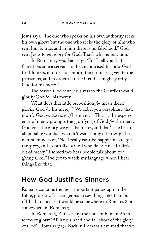Jesus says, "The one who speaks on his own authority seeks his own glory; but the one who seeks the glory of him who sent him is true, and in him there is no falsehood." God sent Jesus to get glory for God! That's why he sent him.

In Romans 15:8–9, Paul says, "For I tell you that Christ became a servant to the circumcised to show God's truthfulness, in order to confirm the promises given to the patriarchs, and in order that the Gentiles might glorify God for his mercy."

The reason God sent Jesus was so the Gentiles would glorify God for his mercy.

What does that little preposition *for* mean there: "glorify God *for* his mercy"? Wouldn't you paraphrase that, "glorify God *on the basis of* his mercy"? That is, the experience of mercy prompts the glorifying of God *for* the mercy. God gets the glory, we get the mercy, and that's the best of all possible worlds. I wouldn't want it any other way. The natural mind says, "No, I really can't be happy unless I get the glory, and I don't like a God who doesn't need a little bit of mercy." I sometimes hear people talk about "forgiving God." I've got to watch my language when I hear things like that.

## How God Justifies Sinners

Romans contains the most important paragraph in the Bible, probably. It's dangerous to say things like that, but if I had to choose, it would be somewhere in Romans 8 or somewhere in Romans 3.

In Romans 3, Paul sets up the issue of human sin in terms of glory: "All have sinned and fall short of the glory of God" (Romans 3:23). Back in Romans 1, we read that we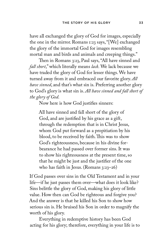have all exchanged the glory of God for images, especially the one in the mirror. Romans 1:23 says, "[We] exchanged the glory of the immortal God for images resembling mortal man and birds and animals and creeping things."

Then in Romans 3:23, Paul says, "All have sinned and *fall short*," which literally means *lack.* We lack because we have traded the glory of God for lesser things. We have turned away from it and embraced our favorite glory. *All have sinned*, and that's what sin is. Preferring another glory to God's glory is what sin is. *All have sinned and fall short of the glory of God*.

Now here is how God justifies sinners:

All have sinned and fall short of the glory of God, and are justified by his grace as a gift, through the redemption that is in Christ Jesus, whom God put forward as a propitiation by his blood, to be received by faith. This was to show God's righteousness, because in his divine forbearance he had passed over former sins. It was to show his righteousness at the present time, so that he might be just and the justifier of the one who has faith in Jesus. (Romans 3:23-26)

If God passes over sins in the Old Testament and in your life—if he just passes them over—what does it look like? Sins belittle the glory of God, making his glory of little value. How then can God be righteous and forgive you? And the answer is that he killed his Son to show how serious sin is. He bruised his Son in order to magnify the worth of his glory.

Everything in redemptive history has been God acting for his glory; therefore, everything in your life is to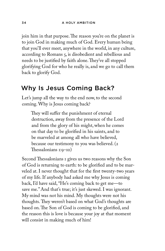join him in that purpose. The reason you're on the planet is to join God in making much of God. Every human being that you'll ever meet, anywhere in the world, in any culture, according to Romans 5, is disobedient and rebellious and needs to be justified by faith alone. They've all stopped glorifying God for who he really is, and we go to call them back to glorify God.

## Why Is Jesus Coming Back?

Let's jump all the way to the end now, to the second coming. Why is Jesus coming back?

They will suffer the punishment of eternal destruction, away from the presence of the Lord and from the glory of his might, when he comes on that day to be glorified in his saints, and to be marveled at among all who have believed, because our testimony to you was believed. (2 Thessalonians 1:9–10)

Second Thessalonians I gives us two reasons why the Son of God is returning to earth: to be glorified and to be marveled at. I never thought that for the first twenty-two years of my life. If anybody had asked me why Jesus is coming back, I'd have said, "He's coming back to get me—to save me." And that's true; it's just skewed. I was ignorant. My mind was not his mind. My thoughts were not his thoughts. They weren't based on what God's thoughts are based on. The Son of God is coming to be glorified, and the reason this is love is because your joy at that moment will consist in making much of him!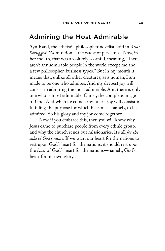## Admiring the Most Admirable

Ayn Rand, the atheistic philosopher novelist, said in *Atlas Shrugged*: "Admiration is the rarest of pleasures." Now, in her mouth, that was absolutely scornful, meaning, "There aren't any admirable people in the world except me and a few philosopher-business types." But in my mouth it means that, unlike all other creatures, as a human, I am made to be one who admires. And my deepest joy will consist in admiring the most admirable. And there is only one who is most admirable: Christ, the complete image of God. And when he comes, my fullest joy will consist in fulfilling the purpose for which he came—namely, to be admired. So his glory and my joy come together.

Now, if you embrace this, then you will know why Jesus came to purchase people from every ethnic group, and why the church sends out missionaries. It's all *for the sake of God's name*. If we want our heart for the nations to rest upon God's heart for the nations, it should rest upon the *basis* of God's heart for the nations—namely, God's heart for his own glory.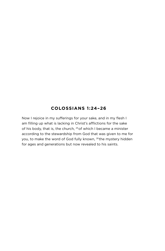#### **COLOSSIANS 1:24–26**

Now I rejoice in my sufferings for your sake, and in my flesh I am filling up what is lacking in Christ's afflictions for the sake of his body, that is, the church, 25 of which I became a minister according to the stewardship from God that was given to me for you, to make the word of God fully known, 26 the mystery hidden for ages and generations but now revealed to his saints.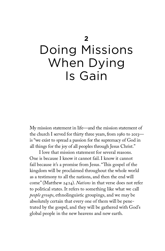## **2** Doing Missions When Dying Is Gain

My mission statement in life—and the mission statement of the church I served for thirty three years, from 1980 to 2013 is "we exist to spread a passion for the supremacy of God in all things for the joy of all peoples through Jesus Christ."

I love that mission statement for several reasons. One is because I know it cannot fail. I know it cannot fail because it's a promise from Jesus. "This gospel of the kingdom will be proclaimed throughout the whole world as a testimony to all the nations, and then the end will come" (Matthew 24:14). *Nations* in that verse does not refer to political states. It refers to something like what we call *people groups*, ethnolinguistic groupings, and we may be absolutely certain that every one of them will be penetrated by the gospel, and they will be gathered with God's global people in the new heavens and new earth.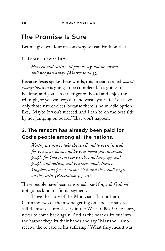## The Promise Is Sure

Let me give you four reasons why we can bank on that.

#### 1. Jesus never lies.

*Heaven and earth will pass away, but my words will not pass away. (Matthew 24:35)* 

Because Jesus spoke these words, this mission called *world evangelization* is going to be completed. It's going to be done, and you can either get on board and enjoy the triumph, or you can cop out and waste your life. You have only those two choices, because there is no middle option like, "Maybe it won't succeed, and I can be on the best side by not jumping on board." That won't happen.

## 2. The ransom has already been paid for God's people among all the nations.

*Worthy are you to take the scroll and to open its seals, for you were slain, and by your blood you ransomed people for God from every tribe and language and people and nation, and you have made them a kingdom and priests to our God, and they shall reign on the earth. (Revelation 5:9–10)* 

These people have been ransomed, paid for, and God will not go back on his Son's payment.

I love the story of the Moravians. In northern Germany, two of them were getting on a boat, ready to sell themselves into slavery in the West Indies, if necessary, never to come back again. And as the boat drifts out into the harbor they lift their hands and say, "May the Lamb receive the reward of his suffering." What they meant was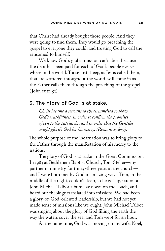that Christ had already bought those people. And they were going to find them. They would go preaching the gospel to everyone they could, and trusting God to call the ransomed to himself.

We know God's global mission can't abort because the debt has been paid for each of God's people everywhere in the world. Those lost sheep, as Jesus called them, that are scattered throughout the world, will come in as the Father calls them through the preaching of the gospel  $($  John  $\pi$ :51–52).

### 3. The glory of God is at stake.

*Christ became a servant to the circumcised to show God's truthfulness, in order to confirm the promises given to the patriarchs, and in order that the Gentiles might glorify God for his mercy. (Romans 15:8–9).* 

The whole purpose of the incarnation was to bring glory to the Father through the manifestation of his mercy to the nations.

The glory of God is at stake in the Great Commission. In 1983 at Bethlehem Baptist Church, Tom Steller—my partner in ministry for thirty-three years at the church and I were both met by God in amazing ways. Tom, in the middle of the night, couldn't sleep, so he got up, put on a John Michael Talbot album, lay down on the couch, and heard our theology translated into missions. We had been a glory-of-God-oriented leadership, but we had not yet made sense of missions like we ought. John Michael Talbot was singing about the glory of God filling the earth the way the waters cover the sea, and Tom wept for an hour.

At the same time, God was moving on my wife, Noël,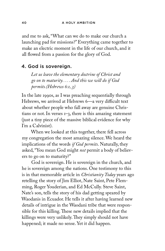and me to ask, "What can we do to make our church a launching pad for missions?" Everything came together to make an electric moment in the life of our church, and it all flowed from a passion for the glory of God.

#### 4. God is sovereign.

*Let us leave the elementary doctrine of Christ and go on to maturity. . . . And this we will do if God permits.(Hebrews 6:1, 3)*

In the late 1990s, as I was preaching sequentially through Hebrews, we arrived at Hebrews 6—a very difficult text about whether people who fall away are genuine Christians or not. In verses  $I_3$ , there is this amazing statement (just a tiny piece of the massive biblical evidence for why I'm a Calvinist).

When we looked at this together, there fell across my congregation the most amazing silence. We heard the implications of the words *if God permits*. Naturally, they asked, "You mean God might *not* permit a body of believers to go on to maturity?"

God is sovereign. He is sovereign in the church, and he is sovereign among the nations. One testimony to this is in that memorable article in *Christianity Today* years ago retelling the story of Jim Elliot, Nate Saint, Pete Flemming, Roger Youderian, and Ed McCully. Steve Saint, Nate's son, tells the story of his dad getting speared by Waodanis in Ecuador. He tells it after having learned new details of intrigue in the Waodani tribe that were responsible for this killing. These new details implied that the killings were very unlikely. They simply should not have happened; it made no sense. Yet it did happen.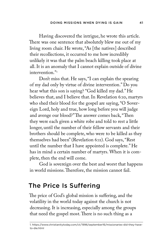Having discovered the intrigue, he wrote this article. There was one sentence that absolutely blew me out of my living room chair. He wrote, "As [the natives] described their recollections, it occurred to me how incredibly unlikely it was that the palm beach killing took place at all. It is an anomaly that I cannot explain outside of divine intervention."1

Don't miss that. He says, "I can explain the spearing of my dad only by virtue of divine intervention." Do you hear what this son is saying? "God killed my dad." He believes that, and I believe that. In Revelation 6:10, martyrs who shed their blood for the gospel are saying, "O Sovereign Lord, holy and true, how long before you will judge and avenge our blood?" The answer comes back, "Then they were each given a white robe and told to rest a little longer, until the number of their fellow servants and their brothers should be complete, who were to be killed as they themselves had been" (Revelation 6:11). God says, "Rest until the number that I have appointed is complete." He has in mind a certain number of martyrs. When it is complete, then the end will come.

God is sovereign over the best and worst that happens in world missions. Therefore, the mission cannot fail.

## The Price Is Suffering

The price of God's global mission is suffering, and the volatility in the world today against the church is not decreasing. It is increasing, especially among the groups that need the gospel most. There is no such thing as a

<sup>1.</sup> https://www.christianitytoday.com/ct/1996/september16/missionaries-did-they-haveto-die.html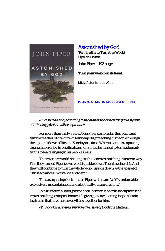

#### [Astonished by God](https://cruciformpress.com/product/astonished-by-god/)

Ten Truths to Turn the World Upside Down John Piper | 192 pages

**Turn your world on its head.**

bit.ly/AstonishedbyGod

[Published for Desiring God by Cruciform Press](https://cruciformpress.com/books/?filter_imprint=desiring-god)

*An easy read and, according to the author, the closest thing to a systematic theology that he will ever produce.*

For more than thirty years, John Piper pastored in the rough and tumble realities of downtown Minneapolis, preaching his people through the ups and down of life one Sunday at a time. When it came to capturing a generation of joy in one final sermon series, he turned to ten trademark truths to leave ringing in his peoples' ears.

These ten are world-shaking truths—each astonishing in its own way. First they turned Piper's own world upside down. Then his church's. And they will continue to turn the whole world upside down as the gospel of Christ advances in distance and depth.

These surprising doctrines, as Piper writes, are "wildly untamable, explosively uncontainable, and electrically future-creating."

Join a veteran author, pastor, and Christian leader as he captures the ten astonishing, compassionate, life-giving, joy-awakening, hope-sustaining truths that have held everything together for him.

*(This book is a revised, improved version of* Doctrine Matters*.)*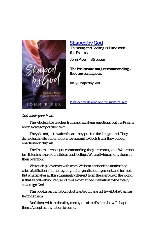

#### [Shaped by God](https://cruciformpress.com/product/shaped-by-god/)

Thinking and Feeling in Tune with the Psalms

John Piper | 86 pages

#### **The Psalms are not just commanding... they are contagious.**

bit.ly/ShapedbyGod

[Published for Desiring God by Cruciform Press](https://cruciformpress.com/books/?filter_imprint=desiring-god)

*God wants your heart.*

The whole Bible teaches truth and awakens emotions, but the Psalms are in a category of their own.

They do not just awaken heart; they put it in the foreground. They do not just invite our emotions to respond to God's truth; they put our emotions on display.

The Psalms are not just commanding; they are contagious. We are not just listening to profound ideas and feelings. We are living among them in their overflow.

We touch pillows wet with tears. We hear and feel the unabashed cries of affliction, shame, regret, grief, anger, discouragement, and turmoil. But what makes all this stunningly different from the sorrows of the world is that all of it—absolutely all of it—is experienced in relation to the totally sovereign God.

This book is an invitation. God wants our hearts. He will take them as he finds them.

And then, with the healing contagion of the Psalms, he will shape them. Accept his invitation to come.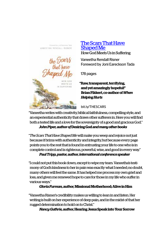VANEETINA BENDALL ROUNER



#### [The Scars That Have](https://cruciformpress.com/product/the-scars-that-have-shaped-me/) [Shaped Me](https://cruciformpress.com/product/the-scars-that-have-shaped-me/)  How God Meets Us in Suffering

Vaneetha Rendall Risner Foreword by Joni Eareckson Tada

178 pages

**"Raw, transparent, terrifying, and yet amazingly hopeful!" Brian Fikkert, co-author of** *When Helping Hurts*

#### bit.ly/THESCARS

"Vaneetha writes with creativity, biblical faithfulness, compelling style, and an experiential authenticity that draws other sufferers in. Here you will find both a tested life and a love for the sovereignty of a good and gracious God." *John Piper, author of* **Desiring God** *and many other books*

"*The Scars That Have Shaped Me* will make you weep and rejoice not just because it brims with authenticity and integrity, but because every page points you to the rest that is found in entrusting your life to one who is in complete control and is righteous, powerful, wise, and good in every way."

*Paul Tripp, pastor, author, international conference speaker*

"I could not put this book down, except to wipe my tears. Vaneetha's testimony of God's kindness to her in pain was exactly what I needed; no doubt, many others will feel the same. It has helped me process my own grief and loss, and given me renewed hope to care for those in my life who suffer in various ways."

#### *Gloria Furman, author,* **Missional Motherhood***;* **Alive in Him**

"Vaneetha Risner's credibility makes us willing to lean in and listen. Her writing is built on her experience of deep pain, and in the midst of that her rugged determination to hold on to Christ."

*Nancy Guthrie, author,* **Hearing Jesus Speak into Your Sorrow**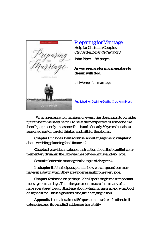

[Preparing for Marriage](https://cruciformpress.com/product/preparing-marriage/) Help for Christian Couples *(Revised & Expanded Edition)*

John Piper | 88 pages

**As you prepare for marriage, dare to dream with God.** 

bit.ly/prep–for–marriage

[Published for Desiring God by Cruciform Press](https://cruciformpress.com/books/?filter_imprint=desiring-god)

When preparing for marriage, or even in just beginning to consider it, it can be immensely helpful to have the perspective of someone like John Piper, not only a seasoned husband of nearly 50 years, but also a seasoned pastor, careful thinker, and faithful theologian.

**Chapter 1** includes John's counsel about engagement, **chapter 2** about wedding planning (and finances).

**Chapter 3** provides invaluable instruction about the beautiful, complementary dynamic the Bible teaches between husband and wife.

Sexual relations in marriage is the topic of **chapter 4.**

In **chapter 5,** John helps us ponder how we can guard our marriages in a day in which they are under assault from every side.

**Chapter 6** is based on perhaps John Piper's single most important message on marriage. There he goes more macro than many of us have ever dared to go in thinking about what marriage is, and what God designed it for. This is a glorious, true, life-changing vision.

**Appendix 1** contains almost 50 questions to ask each other, in 11 categories, and **Appendix 2** addresses hospitality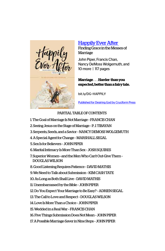

#### [Happily Ever After](https://cruciformpress.com/product/happily-ever-after/)

Finding Grace in the Messes of Marriage

John Piper, Francis Chan, Nancy DeMoss Wolgemuth, and 10 more | 117 pages

#### **Marriage** *…***Harder than you expected, better than a fairy tale.**

bit.ly/DG–HAPPILY

[Published for Desiring God by Cruciform Press](https://cruciformpress.com/books/?filter_imprint=desiring-god)

#### PARTIAL TABLE OF CONTENTS

1. The Goal of Marriage Is Not Marriage – FRANCIS CHAN 2. Seeing Jesus on the Stage of Marriage – P. J. TIBAYAN 3. Serpents, Seeds, and a Savior – NANCY DEMOSS WOLGEMUTH 4. A Special Agent for Change – MARSHALL SEGAL 5. Sex Is for Believers – JOHN PIPER 6. Marital Intimacy Is More Than Sex – JOSH SQUIRES 7. Superior Women—and the Men Who Can't Out-Give Them – DOUGLAS WILSON 8. Good Listening Requires Patience – DAVID MATHIS 9. We Need to Talk about Submission – KIM CASH TATE 10. As Long as Both Shall Live – DAVID MATHIS 11. Unembarrassed by the Bible – JOHN PIPER 12. Do You Expect Your Marriage to Be Easy? – ADRIEN SEGAL 13. The Call to Love and Respect – DOUGLAS WILSON 14. Love Is More Than a Choice – JOHN PIPER 15. Wedded in a Real War – FRANCIS CHAN 16. Five Things Submission Does Not Mean – JOHN PIPER 17. A Possible Marriage-Saver in Nine Steps – JOHN PIPER